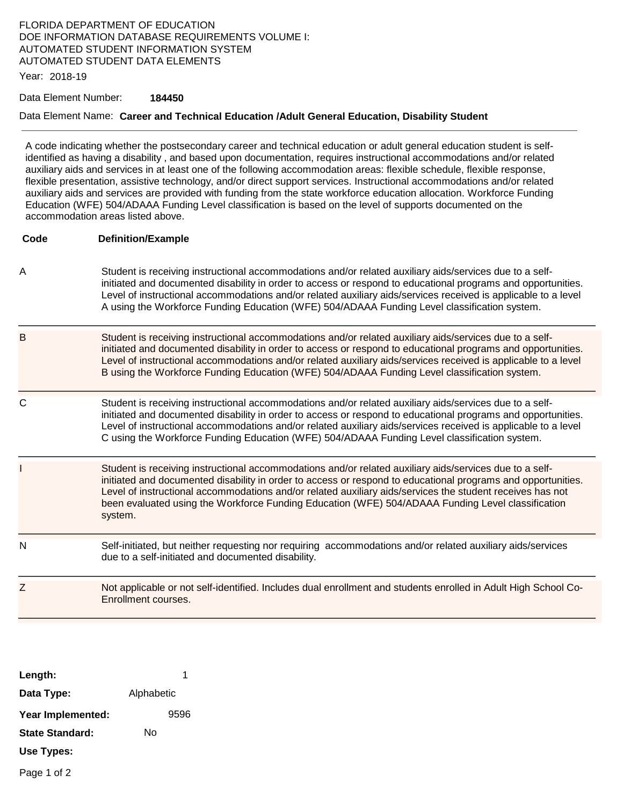## FLORIDA DEPARTMENT OF EDUCATION DOE INFORMATION DATABASE REQUIREMENTS VOLUME I: AUTOMATED STUDENT INFORMATION SYSTEM AUTOMATED STUDENT DATA ELEMENTS

Year: 2018-19

#### Data Element Number: **184450**

#### Data Element Name: **Career and Technical Education /Adult General Education, Disability Student**

A code indicating whether the postsecondary career and technical education or adult general education student is selfidentified as having a disability , and based upon documentation, requires instructional accommodations and/or related auxiliary aids and services in at least one of the following accommodation areas: flexible schedule, flexible response, flexible presentation, assistive technology, and/or direct support services. Instructional accommodations and/or related auxiliary aids and services are provided with funding from the state workforce education allocation. Workforce Funding Education (WFE) 504/ADAAA Funding Level classification is based on the level of supports documented on the accommodation areas listed above.

#### **Code Definition/Example**

- A Student is receiving instructional accommodations and/or related auxiliary aids/services due to a selfinitiated and documented disability in order to access or respond to educational programs and opportunities. Level of instructional accommodations and/or related auxiliary aids/services received is applicable to a level A using the Workforce Funding Education (WFE) 504/ADAAA Funding Level classification system.
- B Student is receiving instructional accommodations and/or related auxiliary aids/services due to a selfinitiated and documented disability in order to access or respond to educational programs and opportunities. Level of instructional accommodations and/or related auxiliary aids/services received is applicable to a level B using the Workforce Funding Education (WFE) 504/ADAAA Funding Level classification system.
- C Student is receiving instructional accommodations and/or related auxiliary aids/services due to a selfinitiated and documented disability in order to access or respond to educational programs and opportunities. Level of instructional accommodations and/or related auxiliary aids/services received is applicable to a level C using the Workforce Funding Education (WFE) 504/ADAAA Funding Level classification system.
- Student is receiving instructional accommodations and/or related auxiliary aids/services due to a selfinitiated and documented disability in order to access or respond to educational programs and opportunities. Level of instructional accommodations and/or related auxiliary aids/services the student receives has not been evaluated using the Workforce Funding Education (WFE) 504/ADAAA Funding Level classification system.
- N Self-initiated, but neither requesting nor requiring accommodations and/or related auxiliary aids/services due to a self-initiated and documented disability.

# Z Not applicable or not self-identified. Includes dual enrollment and students enrolled in Adult High School Co-Enrollment courses.

| Length:                |            |      |
|------------------------|------------|------|
| Data Type:             | Alphabetic |      |
| Year Implemented:      |            | 9596 |
| <b>State Standard:</b> | N٥         |      |
| Use Types:             |            |      |

Page 1 of 2